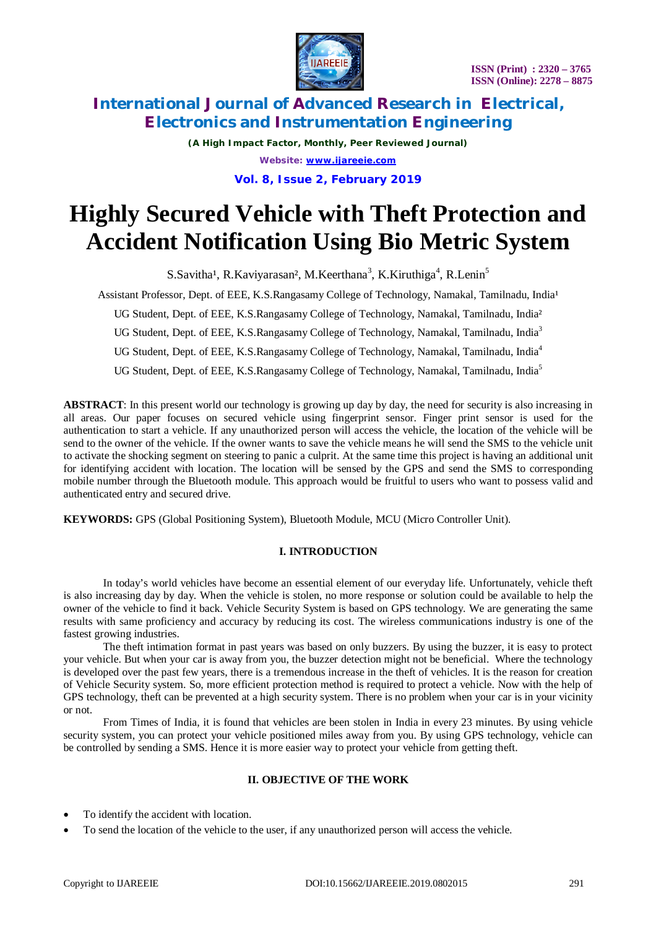

*(A High Impact Factor, Monthly, Peer Reviewed Journal) Website: [www.ijareeie.com](http://www.ijareeie.com)* **Vol. 8, Issue 2, February 2019**

# **Highly Secured Vehicle with Theft Protection and Accident Notification Using Bio Metric System**

S.Savitha<sup>1</sup>, R.Kaviyarasan<sup>2</sup>, M.Keerthana<sup>3</sup>, K.Kiruthiga<sup>4</sup>, R.Lenin<sup>5</sup>

Assistant Professor, Dept. of EEE, K.S.Rangasamy College of Technology, Namakal, Tamilnadu, India<sup>1</sup>

UG Student, Dept. of EEE, K.S.Rangasamy College of Technology, Namakal, Tamilnadu, India²

UG Student, Dept. of EEE, K.S.Rangasamy College of Technology, Namakal, Tamilnadu, India<sup>3</sup>

UG Student, Dept. of EEE, K.S.Rangasamy College of Technology, Namakal, Tamilnadu, India<sup>4</sup>

UG Student, Dept. of EEE, K.S.Rangasamy College of Technology, Namakal, Tamilnadu, India<sup>5</sup>

**ABSTRACT**: In this present world our technology is growing up day by day, the need for security is also increasing in all areas. Our paper focuses on secured vehicle using fingerprint sensor. Finger print sensor is used for the authentication to start a vehicle. If any unauthorized person will access the vehicle, the location of the vehicle will be send to the owner of the vehicle. If the owner wants to save the vehicle means he will send the SMS to the vehicle unit to activate the shocking segment on steering to panic a culprit. At the same time this project is having an additional unit for identifying accident with location. The location will be sensed by the GPS and send the SMS to corresponding mobile number through the Bluetooth module. This approach would be fruitful to users who want to possess valid and authenticated entry and secured drive.

**KEYWORDS:** GPS (Global Positioning System), Bluetooth Module, MCU (Micro Controller Unit).

# **I. INTRODUCTION**

In today's world vehicles have become an essential element of our everyday life. Unfortunately, vehicle theft is also increasing day by day. When the vehicle is stolen, no more response or solution could be available to help the owner of the vehicle to find it back. Vehicle Security System is based on GPS technology. We are generating the same results with same proficiency and accuracy by reducing its cost. The wireless communications industry is one of the fastest growing industries.

The theft intimation format in past years was based on only buzzers. By using the buzzer, it is easy to protect your vehicle. But when your car is away from you, the buzzer detection might not be beneficial. Where the technology is developed over the past few years, there is a tremendous increase in the theft of vehicles. It is the reason for creation of Vehicle Security system. So, more efficient protection method is required to protect a vehicle. Now with the help of GPS technology, theft can be prevented at a high security system. There is no problem when your car is in your vicinity or not.

From Times of India, it is found that vehicles are been stolen in India in every 23 minutes. By using vehicle security system, you can protect your vehicle positioned miles away from you. By using GPS technology, vehicle can be controlled by sending a SMS. Hence it is more easier way to protect your vehicle from getting theft.

# **II. OBJECTIVE OF THE WORK**

- To identify the accident with location.
- To send the location of the vehicle to the user, if any unauthorized person will access the vehicle.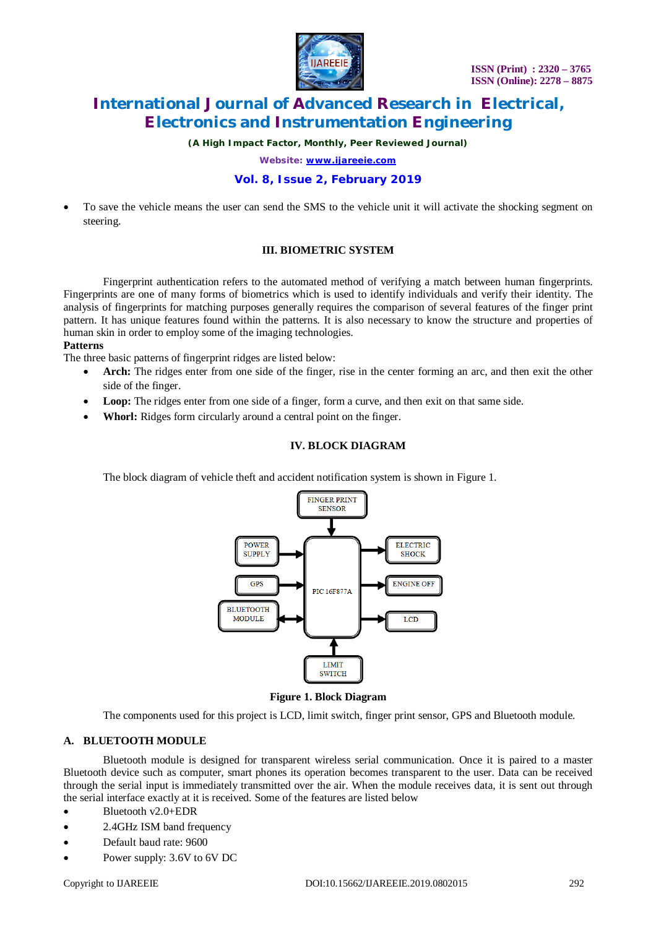

*(A High Impact Factor, Monthly, Peer Reviewed Journal)*

*Website: [www.ijareeie.com](http://www.ijareeie.com)*

# **Vol. 8, Issue 2, February 2019**

 To save the vehicle means the user can send the SMS to the vehicle unit it will activate the shocking segment on steering.

# **III. BIOMETRIC SYSTEM**

Fingerprint authentication refers to the automated method of verifying a match between human fingerprints. Fingerprints are one of many forms of biometrics which is used to identify individuals and verify their identity. The analysis of fingerprints for matching purposes generally requires the comparison of several features of the finger print pattern. It has unique features found within the patterns. It is also necessary to know the structure and properties of human skin in order to employ some of the imaging technologies.

#### **Patterns**

The three basic patterns of fingerprint ridges are listed below:

- **Arch:** The ridges enter from one side of the finger, rise in the center forming an arc, and then exit the other side of the finger.
- Loop: The ridges enter from one side of a finger, form a curve, and then exit on that same side.
- **Whorl:** Ridges form circularly around a central point on the finger.

### **IV. BLOCK DIAGRAM**

The block diagram of vehicle theft and accident notification system is shown in Figure 1.



**Figure 1. Block Diagram**

The components used for this project is LCD, limit switch, finger print sensor, GPS and Bluetooth module.

# **A. BLUETOOTH MODULE**

Bluetooth module is designed for transparent wireless serial communication. Once it is paired to a master Bluetooth device such as computer, smart phones its operation becomes transparent to the user. Data can be received through the serial input is immediately transmitted over the air. When the module receives data, it is sent out through the serial interface exactly at it is received. Some of the features are listed below

- Bluetooth v2.0+EDR
- 2.4GHz ISM band frequency
- Default baud rate: 9600
- Power supply: 3.6V to 6V DC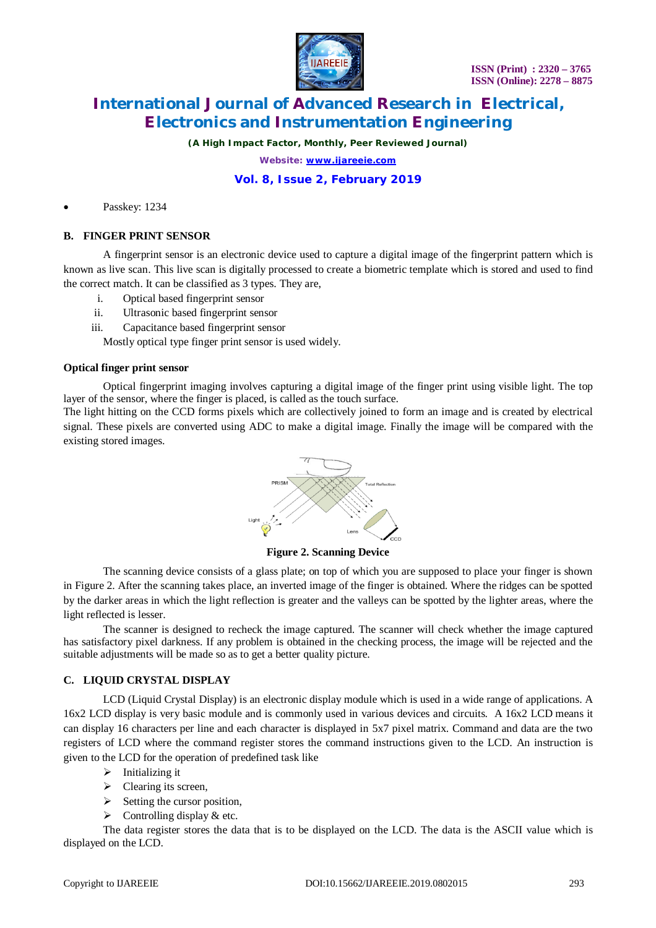

*(A High Impact Factor, Monthly, Peer Reviewed Journal)*

*Website: [www.ijareeie.com](http://www.ijareeie.com)*

# **Vol. 8, Issue 2, February 2019**

Passkey: 1234

### **B. FINGER PRINT SENSOR**

A fingerprint sensor is an electronic device used to capture a digital image of the fingerprint pattern which is known as live scan. This live scan is digitally processed to create a biometric template which is stored and used to find the correct match. It can be classified as 3 types. They are,

- i. Optical based fingerprint sensor
- ii. Ultrasonic based fingerprint sensor
- iii. Capacitance based fingerprint sensor

Mostly optical type finger print sensor is used widely.

#### **Optical finger print sensor**

Optical fingerprint imaging involves capturing a digital image of the finger print using visible light. The top layer of the sensor, where the finger is placed, is called as the touch surface.

The light hitting on the CCD forms pixels which are collectively joined to form an image and is created by electrical signal. These pixels are converted using ADC to make a digital image. Finally the image will be compared with the existing stored images.



**Figure 2. Scanning Device**

The scanning device consists of a glass plate; on top of which you are supposed to place your finger is shown in Figure 2. After the scanning takes place, an inverted image of the finger is obtained. Where the ridges can be spotted by the darker areas in which the light reflection is greater and the valleys can be spotted by the lighter areas, where the light reflected is lesser.

The scanner is designed to recheck the image captured. The scanner will check whether the image captured has satisfactory pixel darkness. If any problem is obtained in the checking process, the image will be rejected and the suitable adjustments will be made so as to get a better quality picture.

### **C. LIQUID CRYSTAL DISPLAY**

LCD (Liquid Crystal Display) is an electronic display module which is used in a wide range of applications. A 16x2 LCD display is very basic module and is commonly used in various devices and circuits. A 16x2 LCD means it can display 16 characters per line and each character is displayed in 5x7 pixel matrix. Command and data are the two registers of LCD where the command register stores the command instructions given to the LCD. An instruction is given to the LCD for the operation of predefined task like

- $\triangleright$  Initializing it
- > Clearing its screen,
- $\triangleright$  Setting the cursor position,
- $\triangleright$  Controlling display & etc.

The data register stores the data that is to be displayed on the LCD. The data is the ASCII value which is displayed on the LCD.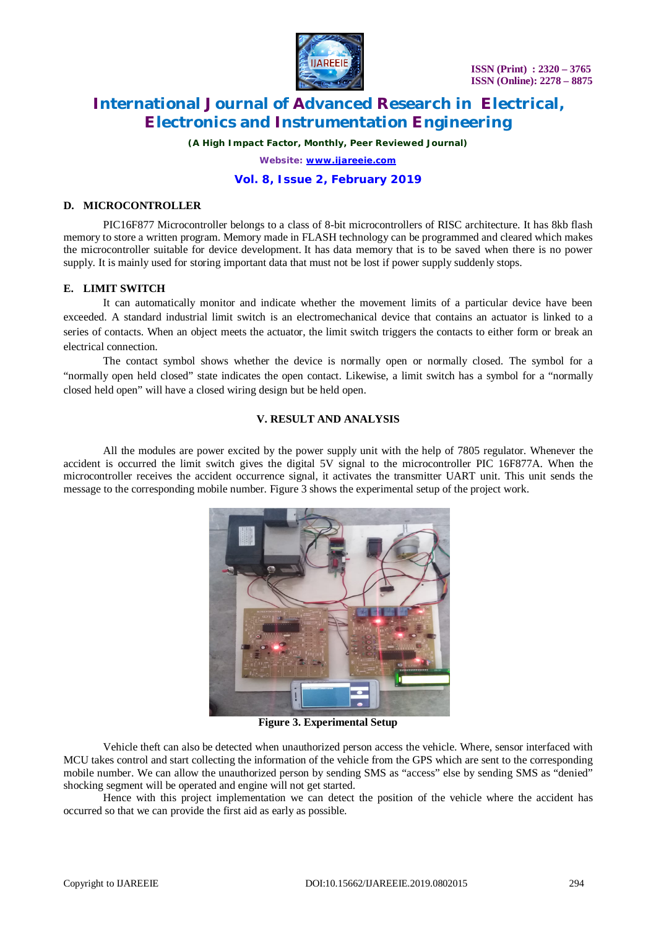

*(A High Impact Factor, Monthly, Peer Reviewed Journal)*

*Website: [www.ijareeie.com](http://www.ijareeie.com)*

# **Vol. 8, Issue 2, February 2019**

### **D. MICROCONTROLLER**

PIC16F877 Microcontroller belongs to a class of 8-bit microcontrollers of RISC architecture. It has 8kb flash memory to store a written program. Memory made in FLASH technology can be programmed and cleared which makes the microcontroller suitable for device development. It has data memory that is to be saved when there is no power supply. It is mainly used for storing important data that must not be lost if power supply suddenly stops.

# **E. LIMIT SWITCH**

It can automatically monitor and indicate whether the movement limits of a particular device have been exceeded. A standard industrial limit switch is an electromechanical device that contains an actuator is linked to a series of contacts. When an object meets the actuator, the limit switch triggers the contacts to either form or break an electrical connection.

The contact symbol shows whether the device is normally open or normally closed. The symbol for a "normally open held closed" state indicates the open contact. Likewise, a limit switch has a symbol for a "normally closed held open" will have a closed wiring design but be held open.

# **V. RESULT AND ANALYSIS**

All the modules are power excited by the power supply unit with the help of 7805 regulator. Whenever the accident is occurred the limit switch gives the digital 5V signal to the microcontroller PIC 16F877A. When the microcontroller receives the accident occurrence signal, it activates the transmitter UART unit. This unit sends the message to the corresponding mobile number. Figure 3 shows the experimental setup of the project work.



**Figure 3. Experimental Setup**

Vehicle theft can also be detected when unauthorized person access the vehicle. Where, sensor interfaced with MCU takes control and start collecting the information of the vehicle from the GPS which are sent to the corresponding mobile number. We can allow the unauthorized person by sending SMS as "access" else by sending SMS as "denied" shocking segment will be operated and engine will not get started.

Hence with this project implementation we can detect the position of the vehicle where the accident has occurred so that we can provide the first aid as early as possible.